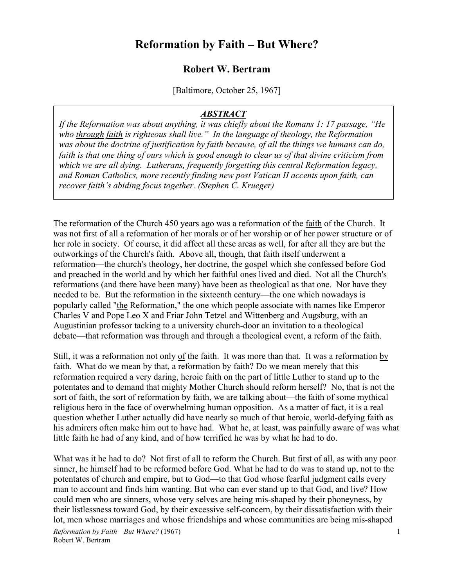## **Reformation by Faith – But Where?**

## **Robert W. Bertram**

[Baltimore, October 25, 1967]

## *ABSTRACT*

*If the Reformation was about anything, it was chiefly about the Romans 1: 17 passage, "He who through faith is righteous shall live." In the language of theology, the Reformation was about the doctrine of justification by faith because, of all the things we humans can do, faith is that one thing of ours which is good enough to clear us of that divine criticism from which we are all dying. Lutherans, frequently forgetting this central Reformation legacy, and Roman Catholics, more recently finding new post Vatican II accents upon faith, can recover faith's abiding focus together. (Stephen C. Krueger)*

The reformation of the Church 450 years ago was a reformation of the faith of the Church. It was not first of all a reformation of her morals or of her worship or of her power structure or of her role in society. Of course, it did affect all these areas as well, for after all they are but the outworkings of the Church's faith. Above all, though, that faith itself underwent a reformation—the church's theology, her doctrine, the gospel which she confessed before God and preached in the world and by which her faithful ones lived and died. Not all the Church's reformations (and there have been many) have been as theological as that one. Nor have they needed to be. But the reformation in the sixteenth century—the one which nowadays is popularly called "the Reformation," the one which people associate with names like Emperor Charles V and Pope Leo X and Friar John Tetzel and Wittenberg and Augsburg, with an Augustinian professor tacking to a university church-door an invitation to a theological debate—that reformation was through and through a theological event, a reform of the faith.

Still, it was a reformation not only of the faith. It was more than that. It was a reformation by faith. What do we mean by that, a reformation by faith? Do we mean merely that this reformation required a very daring, heroic faith on the part of little Luther to stand up to the potentates and to demand that mighty Mother Church should reform herself? No, that is not the sort of faith, the sort of reformation by faith, we are talking about—the faith of some mythical religious hero in the face of overwhelming human opposition. As a matter of fact, it is a real question whether Luther actually did have nearly so much of that heroic, world-defying faith as his admirers often make him out to have had. What he, at least, was painfully aware of was what little faith he had of any kind, and of how terrified he was by what he had to do.

What was it he had to do? Not first of all to reform the Church. But first of all, as with any poor sinner, he himself had to be reformed before God. What he had to do was to stand up, not to the potentates of church and empire, but to God—to that God whose fearful judgment calls every man to account and finds him wanting. But who can ever stand up to that God, and live? How could men who are sinners, whose very selves are being mis-shaped by their phoneyness, by their listlessness toward God, by their excessive self-concern, by their dissatisfaction with their lot, men whose marriages and whose friendships and whose communities are being mis-shaped

*Reformation by Faith—But Where?* (1967) Robert W. Bertram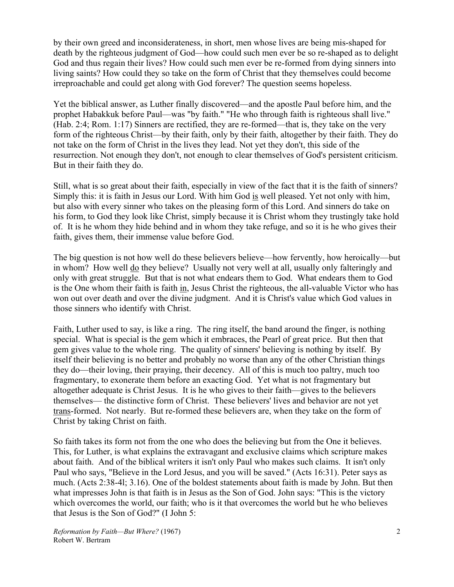by their own greed and inconsiderateness, in short, men whose lives are being mis-shaped for death by the righteous judgment of God—how could such men ever be so re-shaped as to delight God and thus regain their lives? How could such men ever be re-formed from dying sinners into living saints? How could they so take on the form of Christ that they themselves could become irreproachable and could get along with God forever? The question seems hopeless.

Yet the biblical answer, as Luther finally discovered—and the apostle Paul before him, and the prophet Habakkuk before Paul—was "by faith." "He who through faith is righteous shall live." (Hab. 2:4; Rom. 1:17) Sinners are rectified, they are re-formed—that is, they take on the very form of the righteous Christ—by their faith, only by their faith, altogether by their faith. They do not take on the form of Christ in the lives they lead. Not yet they don't, this side of the resurrection. Not enough they don't, not enough to clear themselves of God's persistent criticism. But in their faith they do.

Still, what is so great about their faith, especially in view of the fact that it is the faith of sinners? Simply this: it is faith in Jesus our Lord. With him God is well pleased. Yet not only with him, but also with every sinner who takes on the pleasing form of this Lord. And sinners do take on his form, to God they look like Christ, simply because it is Christ whom they trustingly take hold of. It is he whom they hide behind and in whom they take refuge, and so it is he who gives their faith, gives them, their immense value before God.

The big question is not how well do these believers believe—how fervently, how heroically—but in whom? How well do they believe? Usually not very well at all, usually only falteringly and only with great struggle. But that is not what endears them to God. What endears them to God is the One whom their faith is faith in, Jesus Christ the righteous, the all-valuable Victor who has won out over death and over the divine judgment. And it is Christ's value which God values in those sinners who identify with Christ.

Faith, Luther used to say, is like a ring. The ring itself, the band around the finger, is nothing special. What is special is the gem which it embraces, the Pearl of great price. But then that gem gives value to the whole ring. The quality of sinners' believing is nothing by itself. By itself their believing is no better and probably no worse than any of the other Christian things they do—their loving, their praying, their decency. All of this is much too paltry, much too fragmentary, to exonerate them before an exacting God. Yet what is not fragmentary but altogether adequate is Christ Jesus. It is he who gives to their faith—gives to the believers themselves— the distinctive form of Christ. These believers' lives and behavior are not yet trans-formed. Not nearly. But re-formed these believers are, when they take on the form of Christ by taking Christ on faith.

So faith takes its form not from the one who does the believing but from the One it believes. This, for Luther, is what explains the extravagant and exclusive claims which scripture makes about faith. And of the biblical writers it isn't only Paul who makes such claims. It isn't only Paul who says, "Believe in the Lord Jesus, and you will be saved." (Acts 16:31). Peter says as much. (Acts 2:38-4l; 3.16). One of the boldest statements about faith is made by John. But then what impresses John is that faith is in Jesus as the Son of God. John says: "This is the victory which overcomes the world, our faith; who is it that overcomes the world but he who believes that Jesus is the Son of God?" (I John 5: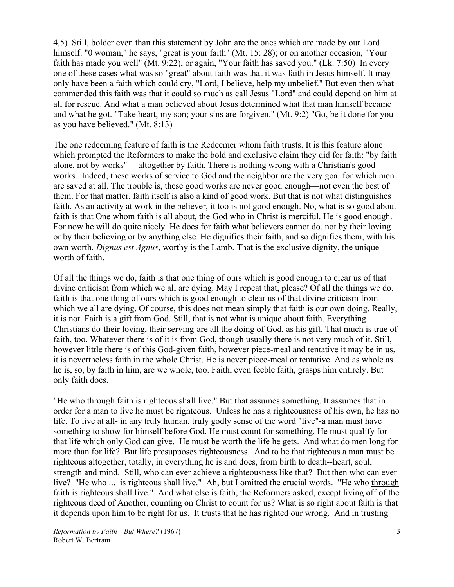4,5) Still, bolder even than this statement by John are the ones which are made by our Lord himself. "0 woman," he says, "great is your faith" (Mt. 15: 28); or on another occasion, "Your faith has made you well" (Mt. 9:22), or again, "Your faith has saved you." (Lk. 7:50) In every one of these cases what was so "great" about faith was that it was faith in Jesus himself. It may only have been a faith which could cry, "Lord, I believe, help my unbelief." But even then what commended this faith was that it could so much as call Jesus "Lord" and could depend on him at all for rescue. And what a man believed about Jesus determined what that man himself became and what he got. "Take heart, my son; your sins are forgiven." (Mt. 9:2) "Go, be it done for you as you have believed." (Mt. 8:13)

The one redeeming feature of faith is the Redeemer whom faith trusts. It is this feature alone which prompted the Reformers to make the bold and exclusive claim they did for faith: "by faith alone, not by works"— altogether by faith. There is nothing wrong with a Christian's good works. Indeed, these works of service to God and the neighbor are the very goal for which men are saved at all. The trouble is, these good works are never good enough—not even the best of them. For that matter, faith itself is also a kind of good work. But that is not what distinguishes faith. As an activity at work in the believer, it too is not good enough. No, what is so good about faith is that One whom faith is all about, the God who in Christ is merciful. He is good enough. For now he will do quite nicely. He does for faith what believers cannot do, not by their loving or by their believing or by anything else. He dignifies their faith, and so dignifies them, with his own worth. *Dignus est Agnus*, worthy is the Lamb. That is the exclusive dignity, the unique worth of faith.

Of all the things we do, faith is that one thing of ours which is good enough to clear us of that divine criticism from which we all are dying. May I repeat that, please? Of all the things we do, faith is that one thing of ours which is good enough to clear us of that divine criticism from which we all are dying. Of course, this does not mean simply that faith is our own doing. Really, it is not. Faith is a gift from God. Still, that is not what is unique about faith. Everything Christians do-their loving, their serving-are all the doing of God, as his gift. That much is true of faith, too. Whatever there is of it is from God, though usually there is not very much of it. Still, however little there is of this God-given faith, however piece-meal and tentative it may be in us, it is nevertheless faith in the whole Christ. He is never piece-meal or tentative. And as whole as he is, so, by faith in him, are we whole, too. Faith, even feeble faith, grasps him entirely. But only faith does.

"He who through faith is righteous shall live." But that assumes something. It assumes that in order for a man to live he must be righteous. Unless he has a righteousness of his own, he has no life. To live at all- in any truly human, truly godly sense of the word "live"-a man must have something to show for himself before God. He must count for something. He must qualify for that life which only God can give. He must be worth the life he gets. And what do men long for more than for life? But life presupposes righteousness. And to be that righteous a man must be righteous altogether, totally, in everything he is and does, from birth to death--heart, soul, strength and mind. Still, who can ever achieve a righteousness like that? But then who can ever live? "He who ... is righteous shall live." Ah, but I omitted the crucial words. "He who through faith is righteous shall live." And what else is faith, the Reformers asked, except living off of the righteous deed of Another, counting on Christ to count for us? What is so right about faith is that it depends upon him to be right for us. It trusts that he has righted our wrong. And in trusting

*Reformation by Faith—But Where?* (1967) Robert W. Bertram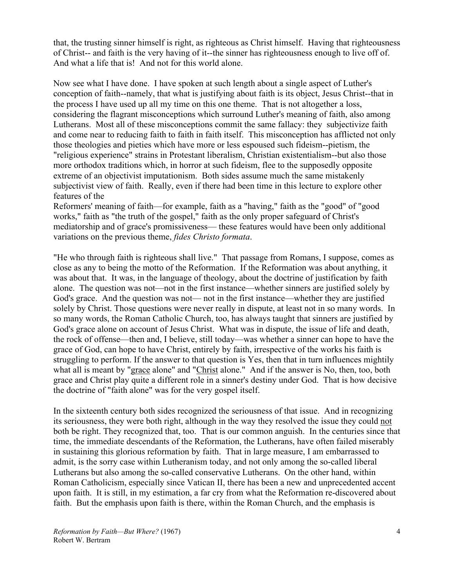that, the trusting sinner himself is right, as righteous as Christ himself. Having that righteousness of Christ-- and faith is the very having of it--the sinner has righteousness enough to live off of. And what a life that is! And not for this world alone.

Now see what I have done. I have spoken at such length about a single aspect of Luther's conception of faith--namely, that what is justifying about faith is its object, Jesus Christ--that in the process I have used up all my time on this one theme. That is not altogether a loss, considering the flagrant misconceptions which surround Luther's meaning of faith, also among Lutherans. Most all of these misconceptions commit the same fallacy: they subjectivize faith and come near to reducing faith to faith in faith itself. This misconception has afflicted not only those theologies and pieties which have more or less espoused such fideism--pietism, the "religious experience" strains in Protestant liberalism, Christian existentialism--but also those more orthodox traditions which, in horror at such fideism, flee to the supposedly opposite extreme of an objectivist imputationism. Both sides assume much the same mistakenly subjectivist view of faith. Really, even if there had been time in this lecture to explore other features of the

Reformers' meaning of faith—for example, faith as a "having," faith as the "good" of "good works," faith as "the truth of the gospel," faith as the only proper safeguard of Christ's mediatorship and of grace's promissiveness— these features would have been only additional variations on the previous theme, *fides Christo formata*.

"He who through faith is righteous shall live." That passage from Romans, I suppose, comes as close as any to being the motto of the Reformation. If the Reformation was about anything, it was about that. It was, in the language of theology, about the doctrine of justification by faith alone. The question was not—not in the first instance—whether sinners are justified solely by God's grace. And the question was not— not in the first instance—whether they are justified solely by Christ. Those questions were never really in dispute, at least not in so many words. In so many words, the Roman Catholic Church, too, has always taught that sinners are justified by God's grace alone on account of Jesus Christ. What was in dispute, the issue of life and death, the rock of offense—then and, I believe, still today—was whether a sinner can hope to have the grace of God, can hope to have Christ, entirely by faith, irrespective of the works his faith is struggling to perform. If the answer to that question is Yes, then that in turn influences mightily what all is meant by "grace alone" and "Christ alone." And if the answer is No, then, too, both grace and Christ play quite a different role in a sinner's destiny under God. That is how decisive the doctrine of "faith alone" was for the very gospel itself.

In the sixteenth century both sides recognized the seriousness of that issue. And in recognizing its seriousness, they were both right, although in the way they resolved the issue they could not both be right. They recognized that, too. That is our common anguish. In the centuries since that time, the immediate descendants of the Reformation, the Lutherans, have often failed miserably in sustaining this glorious reformation by faith. That in large measure, I am embarrassed to admit, is the sorry case within Lutheranism today, and not only among the so-called liberal Lutherans but also among the so-called conservative Lutherans. On the other hand, within Roman Catholicism, especially since Vatican II, there has been a new and unprecedented accent upon faith. It is still, in my estimation, a far cry from what the Reformation re-discovered about faith. But the emphasis upon faith is there, within the Roman Church, and the emphasis is